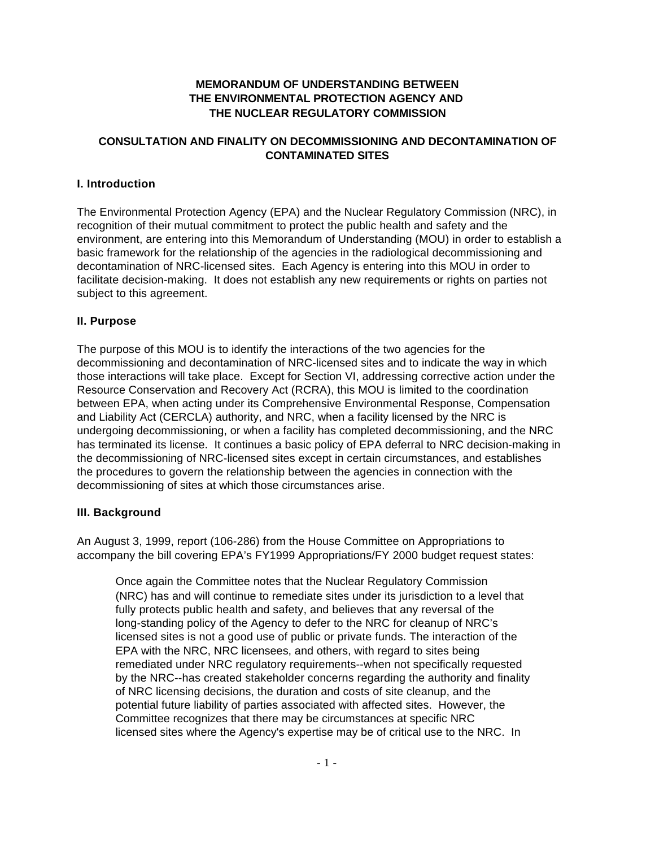### **MEMORANDUM OF UNDERSTANDING BETWEEN THE ENVIRONMENTAL PROTECTION AGENCY AND THE NUCLEAR REGULATORY COMMISSION**

## **CONSULTATION AND FINALITY ON DECOMMISSIONING AND DECONTAMINATION OF CONTAMINATED SITES**

#### **I. Introduction**

The Environmental Protection Agency (EPA) and the Nuclear Regulatory Commission (NRC), in recognition of their mutual commitment to protect the public health and safety and the environment, are entering into this Memorandum of Understanding (MOU) in order to establish a basic framework for the relationship of the agencies in the radiological decommissioning and decontamination of NRC-licensed sites. Each Agency is entering into this MOU in order to facilitate decision-making. It does not establish any new requirements or rights on parties not subject to this agreement.

#### **II. Purpose**

The purpose of this MOU is to identify the interactions of the two agencies for the decommissioning and decontamination of NRC-licensed sites and to indicate the way in which those interactions will take place. Except for Section VI, addressing corrective action under the Resource Conservation and Recovery Act (RCRA), this MOU is limited to the coordination between EPA, when acting under its Comprehensive Environmental Response, Compensation and Liability Act (CERCLA) authority, and NRC, when a facility licensed by the NRC is undergoing decommissioning, or when a facility has completed decommissioning, and the NRC has terminated its license. It continues a basic policy of EPA deferral to NRC decision-making in the decommissioning of NRC-licensed sites except in certain circumstances, and establishes the procedures to govern the relationship between the agencies in connection with the decommissioning of sites at which those circumstances arise.

#### **III. Background**

An August 3, 1999, report (106-286) from the House Committee on Appropriations to accompany the bill covering EPA's FY1999 Appropriations/FY 2000 budget request states:

Once again the Committee notes that the Nuclear Regulatory Commission (NRC) has and will continue to remediate sites under its jurisdiction to a level that fully protects public health and safety, and believes that any reversal of the long-standing policy of the Agency to defer to the NRC for cleanup of NRC's licensed sites is not a good use of public or private funds. The interaction of the EPA with the NRC, NRC licensees, and others, with regard to sites being remediated under NRC regulatory requirements--when not specifically requested by the NRC--has created stakeholder concerns regarding the authority and finality of NRC licensing decisions, the duration and costs of site cleanup, and the potential future liability of parties associated with affected sites. However, the Committee recognizes that there may be circumstances at specific NRC licensed sites where the Agency's expertise may be of critical use to the NRC. In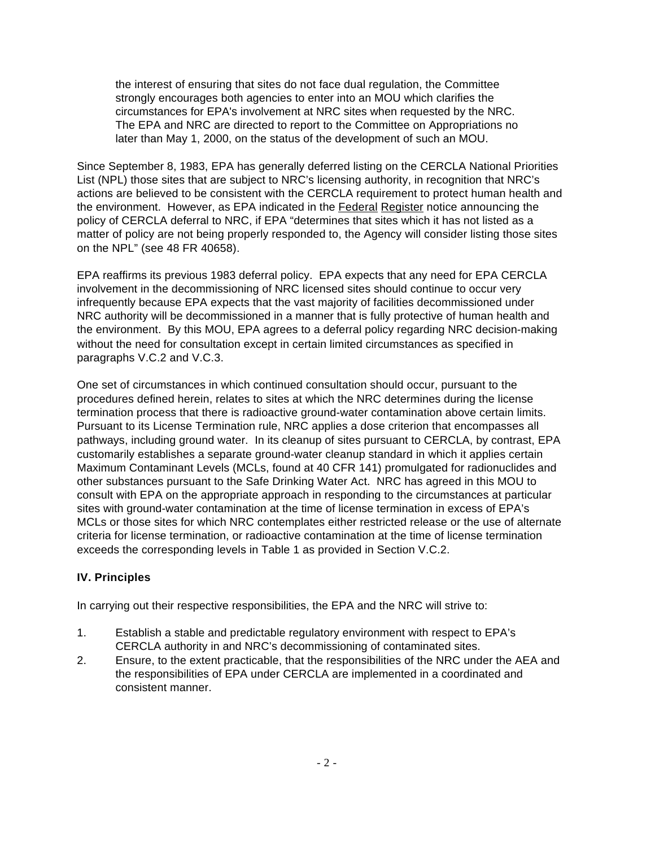the interest of ensuring that sites do not face dual regulation, the Committee strongly encourages both agencies to enter into an MOU which clarifies the circumstances for EPA's involvement at NRC sites when requested by the NRC. The EPA and NRC are directed to report to the Committee on Appropriations no later than May 1, 2000, on the status of the development of such an MOU.

Since September 8, 1983, EPA has generally deferred listing on the CERCLA National Priorities List (NPL) those sites that are subject to NRC's licensing authority, in recognition that NRC's actions are believed to be consistent with the CERCLA requirement to protect human health and the environment. However, as EPA indicated in the Federal Register notice announcing the policy of CERCLA deferral to NRC, if EPA "determines that sites which it has not listed as a matter of policy are not being properly responded to, the Agency will consider listing those sites on the NPL" (see 48 FR 40658).

EPA reaffirms its previous 1983 deferral policy. EPA expects that any need for EPA CERCLA involvement in the decommissioning of NRC licensed sites should continue to occur very infrequently because EPA expects that the vast majority of facilities decommissioned under NRC authority will be decommissioned in a manner that is fully protective of human health and the environment. By this MOU, EPA agrees to a deferral policy regarding NRC decision-making without the need for consultation except in certain limited circumstances as specified in paragraphs V.C.2 and V.C.3.

One set of circumstances in which continued consultation should occur, pursuant to the procedures defined herein, relates to sites at which the NRC determines during the license termination process that there is radioactive ground-water contamination above certain limits. Pursuant to its License Termination rule, NRC applies a dose criterion that encompasses all pathways, including ground water. In its cleanup of sites pursuant to CERCLA, by contrast, EPA customarily establishes a separate ground-water cleanup standard in which it applies certain Maximum Contaminant Levels (MCLs, found at 40 CFR 141) promulgated for radionuclides and other substances pursuant to the Safe Drinking Water Act. NRC has agreed in this MOU to consult with EPA on the appropriate approach in responding to the circumstances at particular sites with ground-water contamination at the time of license termination in excess of EPA's MCLs or those sites for which NRC contemplates either restricted release or the use of alternate criteria for license termination, or radioactive contamination at the time of license termination exceeds the corresponding levels in Table 1 as provided in Section V.C.2.

#### **IV. Principles**

In carrying out their respective responsibilities, the EPA and the NRC will strive to:

- 1. Establish a stable and predictable regulatory environment with respect to EPA's CERCLA authority in and NRC's decommissioning of contaminated sites.
- 2. Ensure, to the extent practicable, that the responsibilities of the NRC under the AEA and the responsibilities of EPA under CERCLA are implemented in a coordinated and consistent manner.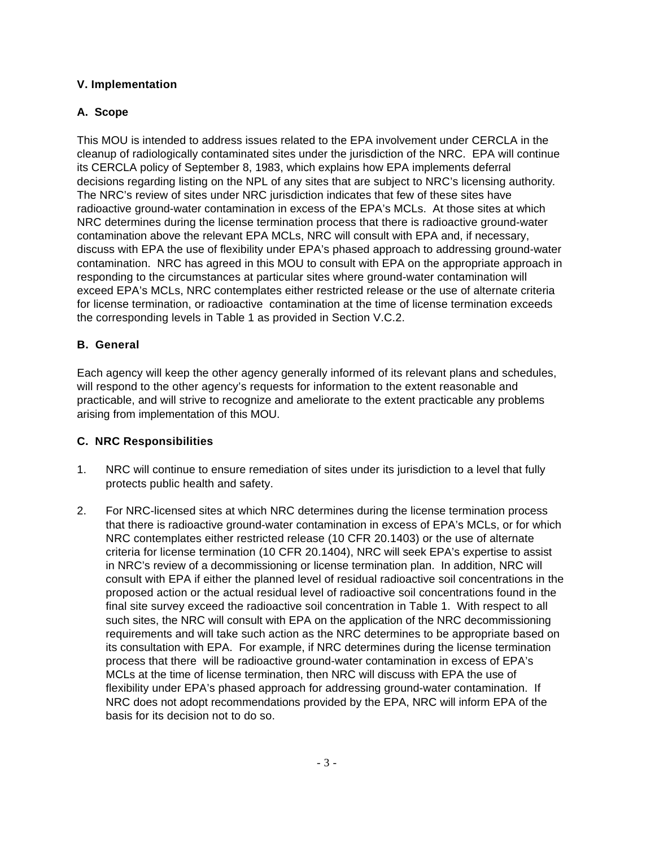## **V. Implementation**

# **A. Scope**

This MOU is intended to address issues related to the EPA involvement under CERCLA in the cleanup of radiologically contaminated sites under the jurisdiction of the NRC. EPA will continue its CERCLA policy of September 8, 1983, which explains how EPA implements deferral decisions regarding listing on the NPL of any sites that are subject to NRC's licensing authority*.*  The NRC's review of sites under NRC jurisdiction indicates that few of these sites have radioactive ground-water contamination in excess of the EPA's MCLs. At those sites at which NRC determines during the license termination process that there is radioactive ground-water contamination above the relevant EPA MCLs, NRC will consult with EPA and, if necessary, discuss with EPA the use of flexibility under EPA's phased approach to addressing ground-water contamination. NRC has agreed in this MOU to consult with EPA on the appropriate approach in responding to the circumstances at particular sites where ground-water contamination will exceed EPA's MCLs, NRC contemplates either restricted release or the use of alternate criteria for license termination, or radioactive contamination at the time of license termination exceeds the corresponding levels in Table 1 as provided in Section V.C.2.

## **B. General**

Each agency will keep the other agency generally informed of its relevant plans and schedules, will respond to the other agency's requests for information to the extent reasonable and practicable, and will strive to recognize and ameliorate to the extent practicable any problems arising from implementation of this MOU.

## **C. NRC Responsibilities**

- 1. NRC will continue to ensure remediation of sites under its jurisdiction to a level that fully protects public health and safety.
- 2. For NRC-licensed sites at which NRC determines during the license termination process that there is radioactive ground-water contamination in excess of EPA's MCLs, or for which NRC contemplates either restricted release (10 CFR 20.1403) or the use of alternate criteria for license termination (10 CFR 20.1404), NRC will seek EPA's expertise to assist in NRC's review of a decommissioning or license termination plan. In addition, NRC will consult with EPA if either the planned level of residual radioactive soil concentrations in the proposed action or the actual residual level of radioactive soil concentrations found in the final site survey exceed the radioactive soil concentration in Table 1. With respect to all such sites, the NRC will consult with EPA on the application of the NRC decommissioning requirements and will take such action as the NRC determines to be appropriate based on its consultation with EPA. For example, if NRC determines during the license termination process that there will be radioactive ground-water contamination in excess of EPA's MCLs at the time of license termination, then NRC will discuss with EPA the use of flexibility under EPA's phased approach for addressing ground-water contamination. If NRC does not adopt recommendations provided by the EPA, NRC will inform EPA of the basis for its decision not to do so.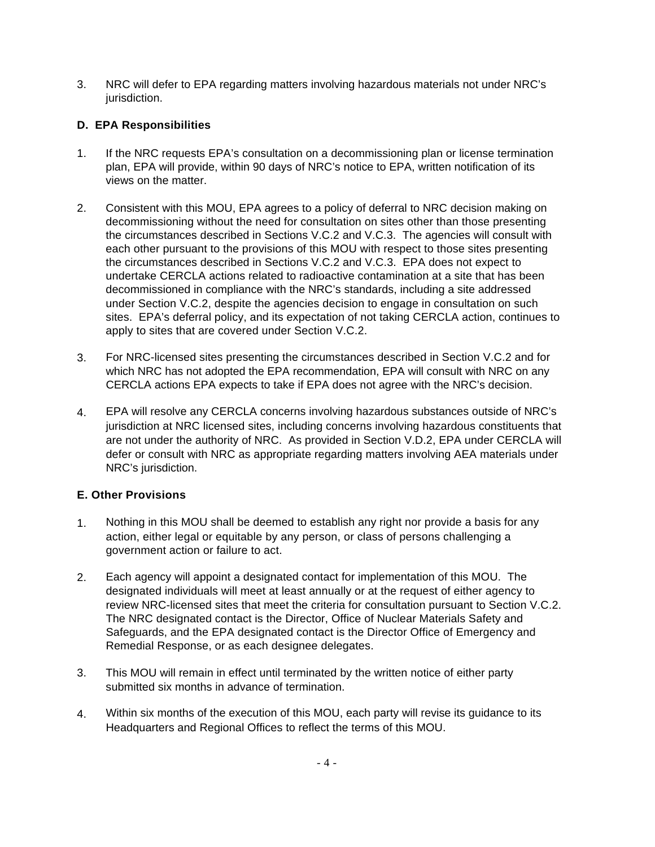3. NRC will defer to EPA regarding matters involving hazardous materials not under NRC's jurisdiction.

## **D. EPA Responsibilities**

- 1. If the NRC requests EPA's consultation on a decommissioning plan or license termination plan, EPA will provide, within 90 days of NRC's notice to EPA, written notification of its views on the matter.
- 2. Consistent with this MOU, EPA agrees to a policy of deferral to NRC decision making on decommissioning without the need for consultation on sites other than those presenting the circumstances described in Sections V.C.2 and V.C.3. The agencies will consult with each other pursuant to the provisions of this MOU with respect to those sites presenting the circumstances described in Sections V.C.2 and V.C.3. EPA does not expect to undertake CERCLA actions related to radioactive contamination at a site that has been decommissioned in compliance with the NRC's standards, including a site addressed under Section V.C.2, despite the agencies decision to engage in consultation on such sites. EPA's deferral policy, and its expectation of not taking CERCLA action, continues to apply to sites that are covered under Section V.C.2.
- 3. For NRC-licensed sites presenting the circumstances described in Section V.C.2 and for which NRC has not adopted the EPA recommendation, EPA will consult with NRC on any CERCLA actions EPA expects to take if EPA does not agree with the NRC's decision.
- 4. EPA will resolve any CERCLA concerns involving hazardous substances outside of NRC's jurisdiction at NRC licensed sites, including concerns involving hazardous constituents that are not under the authority of NRC. As provided in Section V.D.2, EPA under CERCLA will defer or consult with NRC as appropriate regarding matters involving AEA materials under NRC's jurisdiction.

## **E. Other Provisions**

- 1. Nothing in this MOU shall be deemed to establish any right nor provide a basis for any action, either legal or equitable by any person, or class of persons challenging a government action or failure to act.
- 2. Each agency will appoint a designated contact for implementation of this MOU. The designated individuals will meet at least annually or at the request of either agency to review NRC-licensed sites that meet the criteria for consultation pursuant to Section V.C.2. The NRC designated contact is the Director, Office of Nuclear Materials Safety and Safeguards, and the EPA designated contact is the Director Office of Emergency and Remedial Response, or as each designee delegates.
- 3. This MOU will remain in effect until terminated by the written notice of either party submitted six months in advance of termination.
- 4. Within six months of the execution of this MOU, each party will revise its guidance to its Headquarters and Regional Offices to reflect the terms of this MOU.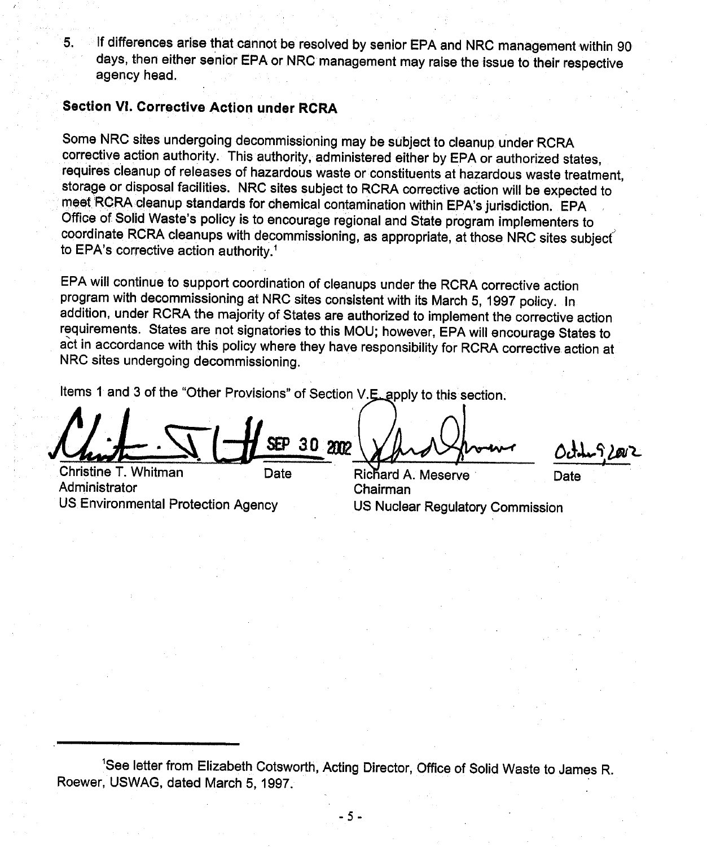If differences arise that cannot be resolved by senior EPA and NRC management within 90 5. days, then either senior EPA or NRC management may raise the issue to their respective agency head.

#### **Section VI. Corrective Action under RCRA**

Some NRC sites undergoing decommissioning may be subject to cleanup under RCRA corrective action authority. This authority, administered either by EPA or authorized states. requires cleanup of releases of hazardous waste or constituents at hazardous waste treatment, storage or disposal facilities. NRC sites subject to RCRA corrective action will be expected to meet RCRA cleanup standards for chemical contamination within EPA's jurisdiction. EPA Office of Solid Waste's policy is to encourage regional and State program implementers to coordinate RCRA cleanups with decommissioning, as appropriate, at those NRC sites subject to EPA's corrective action authority.<sup>1</sup>

EPA will continue to support coordination of cleanups under the RCRA corrective action program with decommissioning at NRC sites consistent with its March 5, 1997 policy. In addition, under RCRA the majority of States are authorized to implement the corrective action requirements. States are not signatories to this MOU; however, EPA will encourage States to act in accordance with this policy where they have responsibility for RCRA corrective action at NRC sites undergoing decommissioning.

Items 1 and 3 of the "Other Provisions" of Section V.E. apply to this section.

 $30 \, \text{app}$ 

Christine T. Whitman Date Administrator **US Environmental Protection Agency** 

Date

Richard A. Meserve Chairman US Nuclear Regulatory Commission

'See letter from Elizabeth Cotsworth, Acting Director, Office of Solid Waste to James R. Roewer. USWAG, dated March 5, 1997.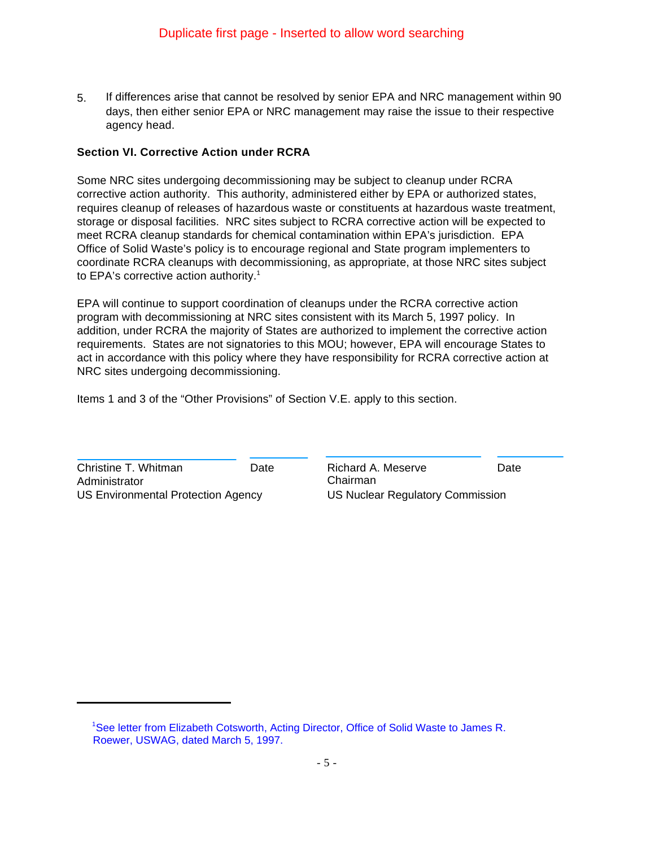5. If differences arise that cannot be resolved by senior EPA and NRC management within 90 days, then either senior EPA or NRC management may raise the issue to their respective agency head.

### **Section VI. Corrective Action under RCRA**

Some NRC sites undergoing decommissioning may be subject to cleanup under RCRA corrective action authority. This authority, administered either by EPA or authorized states, requires cleanup of releases of hazardous waste or constituents at hazardous waste treatment, storage or disposal facilities. NRC sites subject to RCRA corrective action will be expected to meet RCRA cleanup standards for chemical contamination within EPA's jurisdiction. EPA Office of Solid Waste's policy is to encourage regional and State program implementers to coordinate RCRA cleanups with decommissioning, as appropriate, at those NRC sites subject to EPA's corrective action authority.<sup>1</sup>

EPA will continue to support coordination of cleanups under the RCRA corrective action program with decommissioning at NRC sites consistent with its March 5, 1997 policy. In addition, under RCRA the majority of States are authorized to implement the corrective action requirements. States are not signatories to this MOU; however, EPA will encourage States to act in accordance with this policy where they have responsibility for RCRA corrective action at NRC sites undergoing decommissioning.

Items 1 and 3 of the "Other Provisions" of Section V.E. apply to this section.

Christine T. Whitman **Date Date** Richard A. Meserve **Date** Date Administrator **Chairman** US Environmental Protection Agency US Nuclear Regulatory Commission

<sup>&</sup>lt;sup>1</sup>See letter from Elizabeth Cotsworth, Acting Director, Office of Solid Waste to James R. Roewer, USWAG, dated March 5, 1997.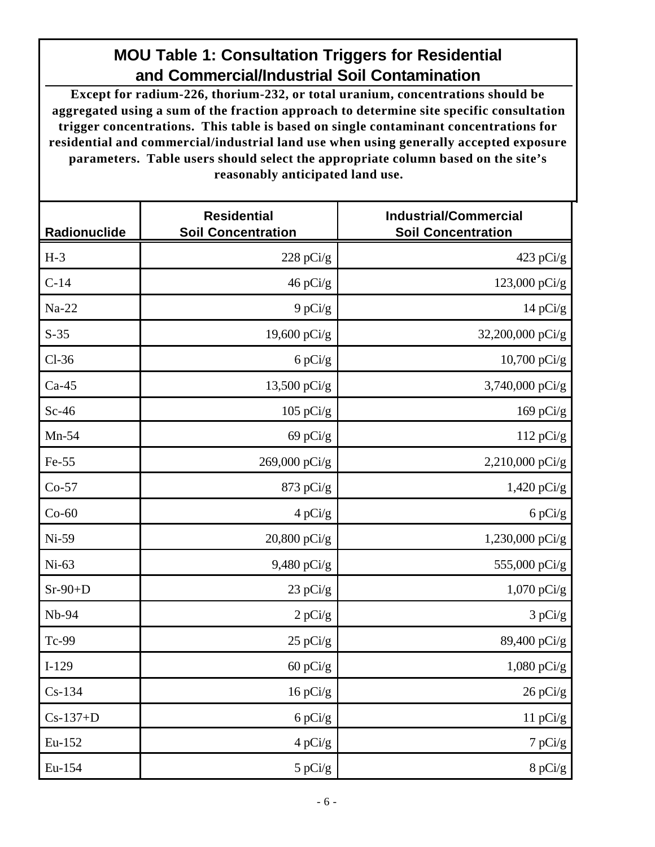# **MOU Table 1: Consultation Triggers for Residential and Commercial/Industrial Soil Contamination**

**Except for radium-226, thorium-232, or total uranium, concentrations should be aggregated using a sum of the fraction approach to determine site specific consultation trigger concentrations. This table is based on single contaminant concentrations for residential and commercial/industrial land use when using generally accepted exposure parameters. Table users should select the appropriate column based on the site's reasonably anticipated land use.**

| Radionuclide | <b>Residential</b><br><b>Soil Concentration</b> | <b>Industrial/Commercial</b><br><b>Soil Concentration</b> |
|--------------|-------------------------------------------------|-----------------------------------------------------------|
| $H-3$        | 228 pCi/g                                       | 423 pCi/g                                                 |
| $C-14$       | 46 pCi/g                                        | 123,000 pCi/g                                             |
| $Na-22$      | 9 pCi/g                                         | 14 pCi/g                                                  |
| $S-35$       | 19,600 pCi/g                                    | 32,200,000 pCi/g                                          |
| $Cl-36$      | 6 pCi/g                                         | 10,700 pCi/g                                              |
| $Ca-45$      | 13,500 pCi/g                                    | 3,740,000 pCi/g                                           |
| $Sc-46$      | $105$ $pCi/g$                                   | $169$ pCi/g                                               |
| $Mn-54$      | 69 pCi/g                                        | 112 pCi/g                                                 |
| Fe-55        | 269,000 pCi/g                                   | 2,210,000 pCi/g                                           |
| $Co-57$      | 873 pCi/g                                       | 1,420 pCi/g                                               |
| $Co-60$      | 4 pCi/g                                         | 6 pCi/g                                                   |
| Ni-59        | 20,800 pCi/g                                    | 1,230,000 pCi/g                                           |
| $Ni-63$      | 9,480 pCi/g                                     | 555,000 pCi/g                                             |
| $Sr-90+D$    | 23 pCi/g                                        | $1,070$ pCi/g                                             |
| Nb-94        | 2 pCi/g                                         | 3 pCi/g                                                   |
| Tc-99        | 25 pCi/g                                        | 89,400 pCi/g                                              |
| $I-129$      | $60$ pCi/g                                      | $1,080$ pCi/g                                             |
| $Cs-134$     | 16 pCi/g                                        | 26 pCi/g                                                  |
| $Cs-137+D$   | 6 pCi/g                                         | 11 pCi/g                                                  |
| Eu-152       | 4 pCi/g                                         | 7 pCi/g                                                   |
| Eu-154       | 5 pCi/g                                         | 8 pCi/g                                                   |